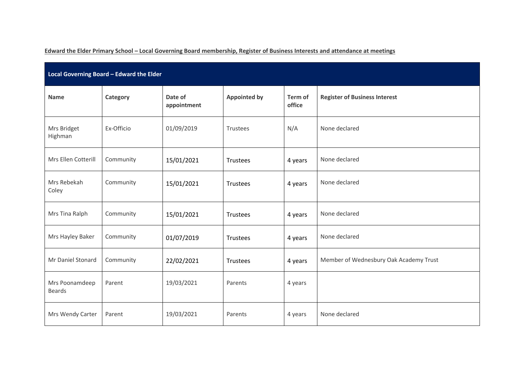**Edward the Elder Primary School – Local Governing Board membership, Register of Business Interests and attendance at meetings**

| Local Governing Board - Edward the Elder |            |                        |                                          |         |                                        |  |  |  |  |  |
|------------------------------------------|------------|------------------------|------------------------------------------|---------|----------------------------------------|--|--|--|--|--|
| <b>Name</b>                              | Category   | Date of<br>appointment | <b>Appointed by</b><br>Term of<br>office |         | <b>Register of Business Interest</b>   |  |  |  |  |  |
| Mrs Bridget<br>Highman                   | Ex-Officio | 01/09/2019             | Trustees                                 | N/A     | None declared                          |  |  |  |  |  |
| Mrs Ellen Cotterill                      | Community  | 15/01/2021             | Trustees                                 | 4 years | None declared                          |  |  |  |  |  |
| Mrs Rebekah<br>Coley                     | Community  | 15/01/2021             | Trustees                                 | 4 years | None declared                          |  |  |  |  |  |
| Mrs Tina Ralph                           | Community  | 15/01/2021             | Trustees                                 | 4 years | None declared                          |  |  |  |  |  |
| Mrs Hayley Baker                         | Community  | 01/07/2019             | Trustees                                 | 4 years | None declared                          |  |  |  |  |  |
| Mr Daniel Stonard                        | Community  | 22/02/2021             | Trustees                                 | 4 years | Member of Wednesbury Oak Academy Trust |  |  |  |  |  |
| Mrs Poonamdeep<br><b>Beards</b>          | Parent     | 19/03/2021             | Parents                                  | 4 years |                                        |  |  |  |  |  |
| Mrs Wendy Carter                         | Parent     | 19/03/2021             | Parents                                  | 4 years | None declared                          |  |  |  |  |  |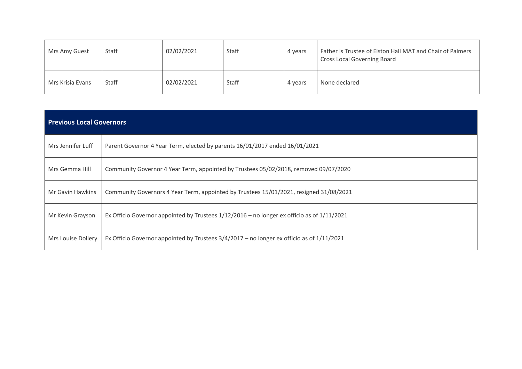| Mrs Amy Guest    | Staff | 02/02/2021 | Staff | 4 years | Father is Trustee of Elston Hall MAT and Chair of Palmers<br><b>Cross Local Governing Board</b> |
|------------------|-------|------------|-------|---------|-------------------------------------------------------------------------------------------------|
| Mrs Krisia Evans | Staff | 02/02/2021 | Staff | 4 years | None declared                                                                                   |

| <b>Previous Local Governors</b> |                                                                                                |  |  |  |  |  |  |  |  |
|---------------------------------|------------------------------------------------------------------------------------------------|--|--|--|--|--|--|--|--|
| Mrs Jennifer Luff               | Parent Governor 4 Year Term, elected by parents 16/01/2017 ended 16/01/2021                    |  |  |  |  |  |  |  |  |
| Mrs Gemma Hill                  | Community Governor 4 Year Term, appointed by Trustees 05/02/2018, removed 09/07/2020           |  |  |  |  |  |  |  |  |
| Mr Gavin Hawkins                | Community Governors 4 Year Term, appointed by Trustees 15/01/2021, resigned 31/08/2021         |  |  |  |  |  |  |  |  |
| Mr Kevin Grayson                | Ex Officio Governor appointed by Trustees $1/12/2016$ – no longer ex officio as of $1/11/2021$ |  |  |  |  |  |  |  |  |
| Mrs Louise Dollery              | Ex Officio Governor appointed by Trustees $3/4/2017$ – no longer ex officio as of $1/11/2021$  |  |  |  |  |  |  |  |  |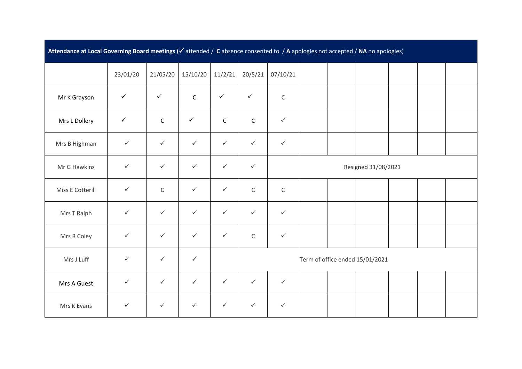| Attendance at Local Governing Board meetings (v attended / C absence consented to / A apologies not accepted / NA no apologies) |              |              |              |              |                                 |                     |  |  |  |  |  |  |  |
|---------------------------------------------------------------------------------------------------------------------------------|--------------|--------------|--------------|--------------|---------------------------------|---------------------|--|--|--|--|--|--|--|
|                                                                                                                                 | 23/01/20     | 21/05/20     | 15/10/20     | 11/2/21      | 20/5/21                         | 07/10/21            |  |  |  |  |  |  |  |
| Mr K Grayson                                                                                                                    | $\checkmark$ | $\checkmark$ | $\mathsf C$  | $\checkmark$ | $\checkmark$                    | $\mathsf C$         |  |  |  |  |  |  |  |
| Mrs L Dollery                                                                                                                   | $\checkmark$ | $\mathsf C$  | $\checkmark$ | $\mathsf{C}$ | $\mathsf C$                     | $\checkmark$        |  |  |  |  |  |  |  |
| Mrs B Highman                                                                                                                   | $\checkmark$ | $\checkmark$ | $\checkmark$ | $\checkmark$ | $\checkmark$                    | $\checkmark$        |  |  |  |  |  |  |  |
| Mr G Hawkins                                                                                                                    | $\checkmark$ | $\checkmark$ | $\checkmark$ | $\checkmark$ | $\checkmark$                    | Resigned 31/08/2021 |  |  |  |  |  |  |  |
| Miss E Cotterill                                                                                                                | $\checkmark$ | $\mathsf C$  | $\checkmark$ | $\checkmark$ | $\mathsf C$                     | $\mathsf C$         |  |  |  |  |  |  |  |
| Mrs T Ralph                                                                                                                     | $\checkmark$ | $\checkmark$ | $\checkmark$ | $\checkmark$ | $\checkmark$                    | $\checkmark$        |  |  |  |  |  |  |  |
| Mrs R Coley                                                                                                                     | $\checkmark$ | $\checkmark$ | $\checkmark$ | $\checkmark$ | $\mathsf C$                     | $\checkmark$        |  |  |  |  |  |  |  |
| Mrs J Luff                                                                                                                      | $\checkmark$ | $\checkmark$ | $\checkmark$ |              | Term of office ended 15/01/2021 |                     |  |  |  |  |  |  |  |
| Mrs A Guest                                                                                                                     | $\checkmark$ | $\checkmark$ | $\checkmark$ | $\checkmark$ | $\checkmark$                    | $\checkmark$        |  |  |  |  |  |  |  |
| Mrs K Evans                                                                                                                     | $\checkmark$ | $\checkmark$ | $\checkmark$ | $\checkmark$ | $\checkmark$                    | $\checkmark$        |  |  |  |  |  |  |  |